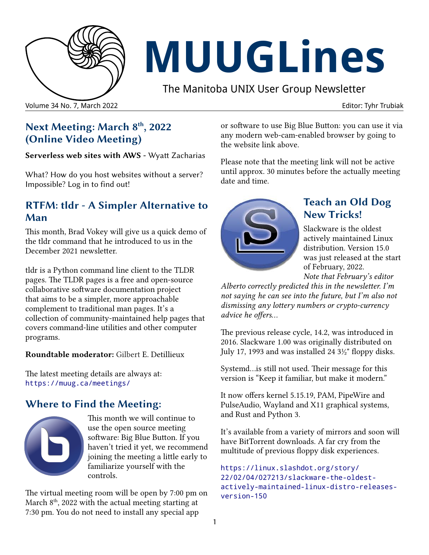

# **MUUGLines**

The Manitoba UNIX User Group Newsletter

# **Next Meeting: March 8th, 2022 (Online Video Meeting)**

**Serverless web sites with AWS -** Wyatt Zacharias

What? How do you host websites without a server? Impossible? Log in to find out!

# **RTFM: tldr - A Simpler Alternative to Man**

This month, Brad Vokey will give us a quick demo of the tldr command that he introduced to us in the December 2021 newsletter.

tldr is a Python command line client to the TLDR pages. The TLDR pages is a free and open-source collaborative software documentation project that aims to be a simpler, more approachable complement to traditional man pages. It's a collection of community-maintained help pages that covers command-line utilities and other computer programs.

**Roundtable moderator:** Gilbert E. Detillieux

The latest meeting details are always at: <https://muug.ca/meetings/>

# **Where to Find the Meeting:**



This month we will continue to use the open source meeting software: Big Blue Button. If you haven't tried it yet, we recommend joining the meeting a little early to familiarize yourself with the controls.

The virtual meeting room will be open by 7:00 pm on March  $8<sup>th</sup>$ , 2022 with the actual meeting starting at 7:30 pm. You do not need to install any special app

or software to use Big Blue Button: you can use it via any modern web-cam-enabled browser by going to the website link above.

Please note that the meeting link will not be active until approx. 30 minutes before the actually meeting date and time.



# **Teach an Old Dog New Tricks!**

Slackware is the oldest actively maintained Linux distribution. Version 15.0 was just released at the start of February, 2022. *Note that February's editor* 

*Alberto correctly predicted this in the newsletter. I'm not saying he can see into the future, but I'm also not dismissing any lottery numbers or crypto-currency advice he offers...*

The previous release cycle, 14.2, was introduced in 2016. Slackware 1.00 was originally distributed on July 17, 1993 and was installed 24 3½" floppy disks.

Systemd...is still not used. Their message for this version is "Keep it familiar, but make it modern."

It now offers kernel 5.15.19, PAM, PipeWire and PulseAudio, Wayland and X11 graphical systems, and Rust and Python 3.

It's available from a variety of mirrors and soon will have BitTorrent downloads. A far cry from the multitude of previous floppy disk experiences.

```
https://linux.slashdot.org/story/
22/02/04/027213/slackware-the-oldest-
actively-maintained-linux-distro-releases-
version-150
```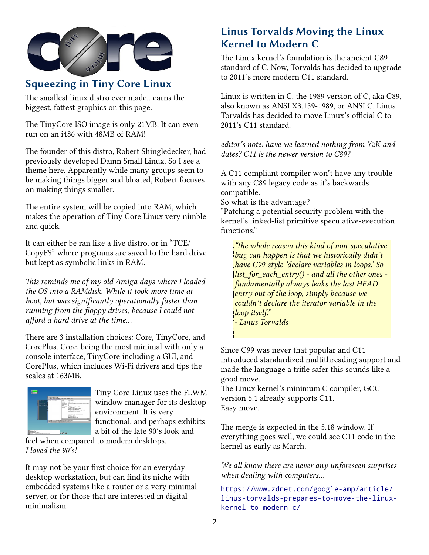

# **Squeezing in Tiny Core Linux**

The smallest linux distro ever made...earns the biggest, fattest graphics on this page.

The TinyCore ISO image is only 21MB. It can even run on an i486 with 48MB of RAM!

The founder of this distro, Robert Shingledecker, had previously developed Damn Small Linux. So I see a theme here. Apparently while many groups seem to be making things bigger and bloated, Robert focuses on making things smaller.

The entire system will be copied into RAM, which makes the operation of Tiny Core Linux very nimble and quick.

It can either be ran like a live distro, or in "TCE/ CopyFS" where programs are saved to the hard drive but kept as symbolic links in RAM.

*This reminds me of my old Amiga days where I loaded the OS into a RAMdisk. While it took more time at boot, but was significantly operationally faster than running from the floppy drives, because I could not afford a hard drive at the time...*

There are 3 installation choices: Core, TinyCore, and CorePlus. Core, being the most minimal with only a console interface, TinyCore including a GUI, and CorePlus, which includes Wi-Fi drivers and tips the scales at 163MB.



Tiny Core Linux uses the FLWM window manager for its desktop environment. It is very functional, and perhaps exhibits a bit of the late 90's look and

feel when compared to modern desktops. *I loved the 90's!*

It may not be your first choice for an everyday desktop workstation, but can find its niche with embedded systems like a router or a very minimal server, or for those that are interested in digital minimalism.

# **Linus Torvalds Moving the Linux Kernel to Modern C**

The Linux kernel's foundation is the ancient C89 standard of C. Now, Torvalds has decided to upgrade to 2011's more modern C11 standard.

Linux is written in C, the 1989 version of C, aka C89, also known as ANSI X3.159-1989, or ANSI C. Linus Torvalds has decided to move Linux's official C to 2011's C11 standard.

*editor's note: have we learned nothing from Y2K and dates? C11 is the newer version to C89?*

A C11 compliant compiler won't have any trouble with any C89 legacy code as it's backwards compatible.

So what is the advantage?

"Patching a potential security problem with the kernel's linked-list primitive speculative-execution functions."

*"the whole reason this kind of non-speculative bug can happen is that we historically didn't have C99-style 'declare variables in loops.' So list\_for\_each\_entry() - and all the other ones fundamentally always leaks the last HEAD entry out of the loop, simply because we couldn't declare the iterator variable in the loop itself."* 

*- Linus Torvalds*

Since C99 was never that popular and C11 introduced standardized multithreading support and made the language a trifle safer this sounds like a good move.

The Linux kernel's minimum C compiler, GCC version 5.1 already supports C11. Easy move.

The merge is expected in the 5.18 window. If everything goes well, we could see C11 code in the kernel as early as March.

*We all know there are never any unforeseen surprises when dealing with computers...* 

[https://www.zdnet.com/google-amp/article/](https://www.zdnet.com/google-amp/article/linus-torvalds-prepares-to-move-the-linux-kernel-to-modern-c/) [linus-torvalds-prepares-to-move-the-linux](https://www.zdnet.com/google-amp/article/linus-torvalds-prepares-to-move-the-linux-kernel-to-modern-c/)[kernel-to-modern-c/](https://www.zdnet.com/google-amp/article/linus-torvalds-prepares-to-move-the-linux-kernel-to-modern-c/)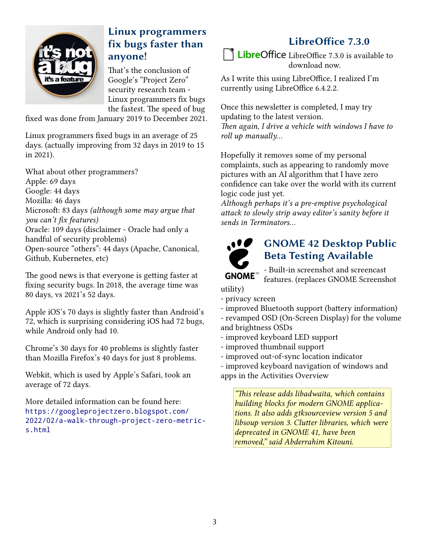

# **Linux programmers fix bugs faster than anyone!**

That's the conclusion of Google's "Project Zero" security research team - Linux programmers fix bugs the fastest. The speed of bug

fixed was done from January 2019 to December 2021.

Linux programmers fixed bugs in an average of 25 days. (actually improving from 32 days in 2019 to 15 in 2021).

What about other programmers? Apple: 69 days Google: 44 days Mozilla: 46 days Microsoft: 83 days *(although some may argue that you can't fix features)* Oracle: 109 days (disclaimer - Oracle had only a handful of security problems) Open-source "others": 44 days (Apache, Canonical, Github, Kubernetes, etc)

The good news is that everyone is getting faster at fixing security bugs. In 2018, the average time was 80 days, vs 2021's 52 days.

Apple iOS's 70 days is slightly faster than Android's 72, which is surprising considering iOS had 72 bugs, while Android only had 10.

Chrome's 30 days for 40 problems is slightly faster than Mozilla Firefox's 40 days for just 8 problems.

Webkit, which is used by Apple's Safari, took an average of 72 days.

More detailed information can be found here: [https://googleprojectzero.blogspot.com/](https://googleprojectzero.blogspot.com/2022/02/a-walk-through-project-zero-metrics.html) [2022/02/a-walk-through-project-zero-metric](https://googleprojectzero.blogspot.com/2022/02/a-walk-through-project-zero-metrics.html)[s.html](https://googleprojectzero.blogspot.com/2022/02/a-walk-through-project-zero-metrics.html)

# **LibreOffice 7.3.0**

**LibreOffice** LibreOffice 7.3.0 is available to download now.

As I write this using LibreOffice, I realized I'm currently using LibreOffice 6.4.2.2.

Once this newsletter is completed, I may try updating to the latest version. *Then again, I drive a vehicle with windows I have to roll up manually...*

Hopefully it removes some of my personal complaints, such as appearing to randomly move pictures with an AI algorithm that I have zero confidence can take over the world with its current logic code just yet.

*Although perhaps it's a pre-emptive psychological attack to slowly strip away editor's sanity before it sends in Terminators...*



# **GNOME 42 Desktop Public Beta Testing Available**

- Built-in screenshot and screencast features. (replaces GNOME Screenshot

utility)

- privacy screen

- improved Bluetooth support (battery information)

- revamped OSD (On-Screen Display) for the volume and brightness OSDs

- improved keyboard LED support
- improved thumbnail support
- improved out-of-sync location indicator

- improved keyboard navigation of windows and

apps in the Activities Overview

*"This release adds libadwaita, which contains building blocks for modern GNOME applications. It also adds gtksourceview version 5 and libsoup version 3. Clutter libraries, which were deprecated in GNOME 41, have been removed," said Abderrahim Kitouni.*